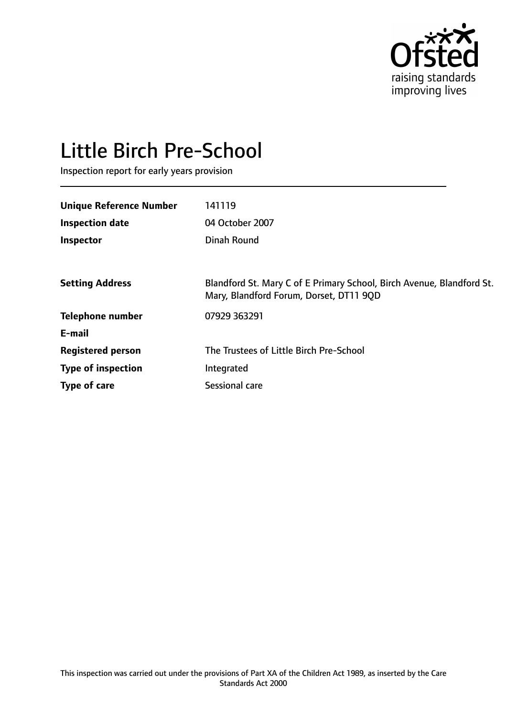

# Little Birch Pre-School

Inspection report for early years provision

| 141119                                                                                                           |
|------------------------------------------------------------------------------------------------------------------|
| 04 October 2007                                                                                                  |
| Dinah Round                                                                                                      |
|                                                                                                                  |
| Blandford St. Mary C of E Primary School, Birch Avenue, Blandford St.<br>Mary, Blandford Forum, Dorset, DT11 9QD |
| 07929 363291                                                                                                     |
|                                                                                                                  |
| The Trustees of Little Birch Pre-School                                                                          |
| Integrated                                                                                                       |
| Sessional care                                                                                                   |
|                                                                                                                  |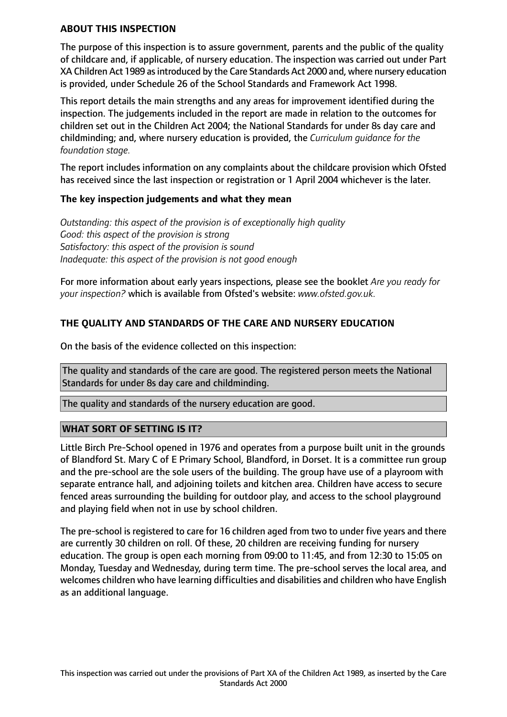#### **ABOUT THIS INSPECTION**

The purpose of this inspection is to assure government, parents and the public of the quality of childcare and, if applicable, of nursery education. The inspection was carried out under Part XA Children Act 1989 asintroduced by the Care Standards Act 2000 and, where nursery education is provided, under Schedule 26 of the School Standards and Framework Act 1998.

This report details the main strengths and any areas for improvement identified during the inspection. The judgements included in the report are made in relation to the outcomes for children set out in the Children Act 2004; the National Standards for under 8s day care and childminding; and, where nursery education is provided, the *Curriculum guidance for the foundation stage.*

The report includes information on any complaints about the childcare provision which Ofsted has received since the last inspection or registration or 1 April 2004 whichever is the later.

#### **The key inspection judgements and what they mean**

*Outstanding: this aspect of the provision is of exceptionally high quality Good: this aspect of the provision is strong Satisfactory: this aspect of the provision is sound Inadequate: this aspect of the provision is not good enough*

For more information about early years inspections, please see the booklet *Are you ready for your inspection?* which is available from Ofsted's website: *www.ofsted.gov.uk.*

# **THE QUALITY AND STANDARDS OF THE CARE AND NURSERY EDUCATION**

On the basis of the evidence collected on this inspection:

The quality and standards of the care are good. The registered person meets the National Standards for under 8s day care and childminding.

The quality and standards of the nursery education are good.

## **WHAT SORT OF SETTING IS IT?**

Little Birch Pre-School opened in 1976 and operates from a purpose built unit in the grounds of Blandford St. Mary C of E Primary School, Blandford, in Dorset. It is a committee run group and the pre-school are the sole users of the building. The group have use of a playroom with separate entrance hall, and adjoining toilets and kitchen area. Children have access to secure fenced areas surrounding the building for outdoor play, and access to the school playground and playing field when not in use by school children.

The pre-school is registered to care for 16 children aged from two to under five years and there are currently 30 children on roll. Of these, 20 children are receiving funding for nursery education. The group is open each morning from 09:00 to 11:45, and from 12:30 to 15:05 on Monday, Tuesday and Wednesday, during term time. The pre-school serves the local area, and welcomes children who have learning difficulties and disabilities and children who have English as an additional language.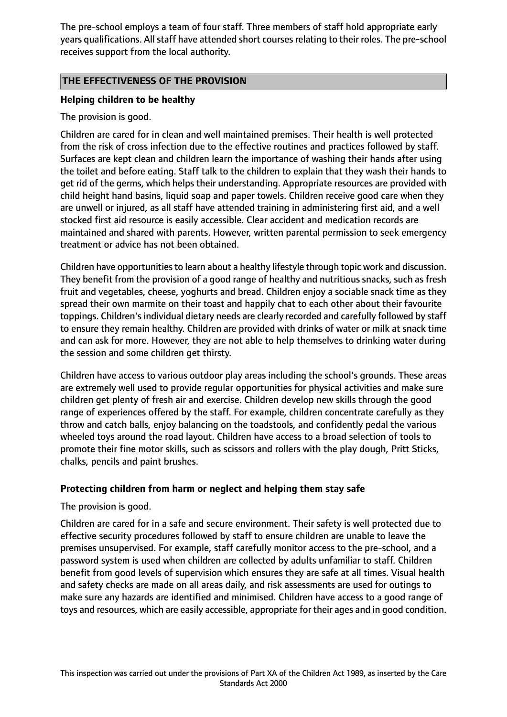The pre-school employs a team of four staff. Three members of staff hold appropriate early years qualifications. All staff have attended short courses relating to their roles. The pre-school receives support from the local authority.

# **THE EFFECTIVENESS OF THE PROVISION**

# **Helping children to be healthy**

The provision is good.

Children are cared for in clean and well maintained premises. Their health is well protected from the risk of cross infection due to the effective routines and practices followed by staff. Surfaces are kept clean and children learn the importance of washing their hands after using the toilet and before eating. Staff talk to the children to explain that they wash their hands to get rid of the germs, which helps their understanding. Appropriate resources are provided with child height hand basins, liquid soap and paper towels. Children receive good care when they are unwell or injured, as all staff have attended training in administering first aid, and a well stocked first aid resource is easily accessible. Clear accident and medication records are maintained and shared with parents. However, written parental permission to seek emergency treatment or advice has not been obtained.

Children have opportunitiesto learn about a healthy lifestyle through topic work and discussion. They benefit from the provision of a good range of healthy and nutritious snacks, such as fresh fruit and vegetables, cheese, yoghurts and bread. Children enjoy a sociable snack time as they spread their own marmite on their toast and happily chat to each other about their favourite toppings. Children's individual dietary needs are clearly recorded and carefully followed by staff to ensure they remain healthy. Children are provided with drinks of water or milk at snack time and can ask for more. However, they are not able to help themselves to drinking water during the session and some children get thirsty.

Children have access to various outdoor play areas including the school's grounds. These areas are extremely well used to provide regular opportunities for physical activities and make sure children get plenty of fresh air and exercise. Children develop new skills through the good range of experiences offered by the staff. For example, children concentrate carefully as they throw and catch balls, enjoy balancing on the toadstools, and confidently pedal the various wheeled toys around the road layout. Children have access to a broad selection of tools to promote their fine motor skills, such as scissors and rollers with the play dough, Pritt Sticks, chalks, pencils and paint brushes.

## **Protecting children from harm or neglect and helping them stay safe**

The provision is good.

Children are cared for in a safe and secure environment. Their safety is well protected due to effective security procedures followed by staff to ensure children are unable to leave the premises unsupervised. For example, staff carefully monitor access to the pre-school, and a password system is used when children are collected by adults unfamiliar to staff. Children benefit from good levels of supervision which ensures they are safe at all times. Visual health and safety checks are made on all areas daily, and risk assessments are used for outings to make sure any hazards are identified and minimised. Children have access to a good range of toys and resources, which are easily accessible, appropriate for their ages and in good condition.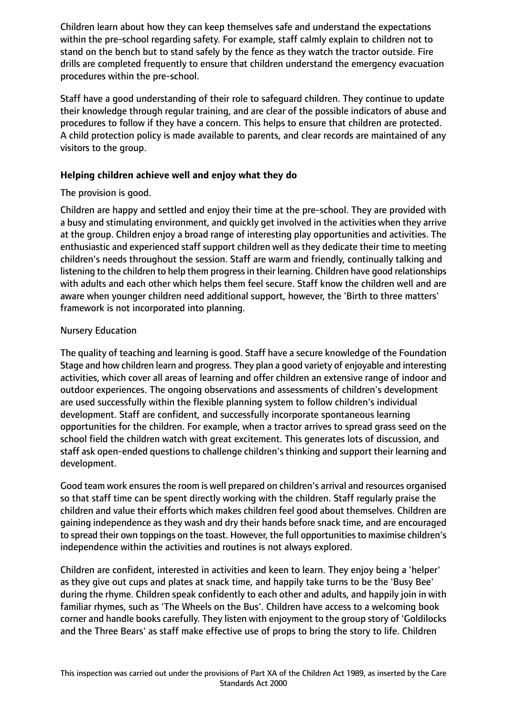Children learn about how they can keep themselves safe and understand the expectations within the pre-school regarding safety. For example, staff calmly explain to children not to stand on the bench but to stand safely by the fence as they watch the tractor outside. Fire drills are completed frequently to ensure that children understand the emergency evacuation procedures within the pre-school.

Staff have a good understanding of their role to safeguard children. They continue to update their knowledge through regular training, and are clear of the possible indicators of abuse and procedures to follow if they have a concern. This helps to ensure that children are protected. A child protection policy is made available to parents, and clear records are maintained of any visitors to the group.

# **Helping children achieve well and enjoy what they do**

# The provision is good.

Children are happy and settled and enjoy their time at the pre-school. They are provided with a busy and stimulating environment, and quickly get involved in the activities when they arrive at the group. Children enjoy a broad range of interesting play opportunities and activities. The enthusiastic and experienced staff support children well as they dedicate their time to meeting children's needs throughout the session. Staff are warm and friendly, continually talking and listening to the children to help them progress in their learning. Children have good relationships with adults and each other which helps them feel secure. Staff know the children well and are aware when younger children need additional support, however, the 'Birth to three matters' framework is not incorporated into planning.

# Nursery Education

The quality of teaching and learning is good. Staff have a secure knowledge of the Foundation Stage and how children learn and progress. They plan a good variety of enjoyable and interesting activities, which cover all areas of learning and offer children an extensive range of indoor and outdoor experiences. The ongoing observations and assessments of children's development are used successfully within the flexible planning system to follow children's individual development. Staff are confident, and successfully incorporate spontaneous learning opportunities for the children. For example, when a tractor arrives to spread grass seed on the school field the children watch with great excitement. This generates lots of discussion, and staff ask open-ended questions to challenge children's thinking and support their learning and development.

Good team work ensures the room is well prepared on children's arrival and resources organised so that staff time can be spent directly working with the children. Staff regularly praise the children and value their efforts which makes children feel good about themselves. Children are gaining independence as they wash and dry their hands before snack time, and are encouraged to spread their own toppings on the toast. However, the full opportunitiesto maximise children's independence within the activities and routines is not always explored.

Children are confident, interested in activities and keen to learn. They enjoy being a 'helper' as they give out cups and plates at snack time, and happily take turns to be the 'Busy Bee' during the rhyme. Children speak confidently to each other and adults, and happily join in with familiar rhymes, such as 'The Wheels on the Bus'. Children have access to a welcoming book corner and handle books carefully. They listen with enjoyment to the group story of 'Goldilocks and the Three Bears' as staff make effective use of props to bring the story to life. Children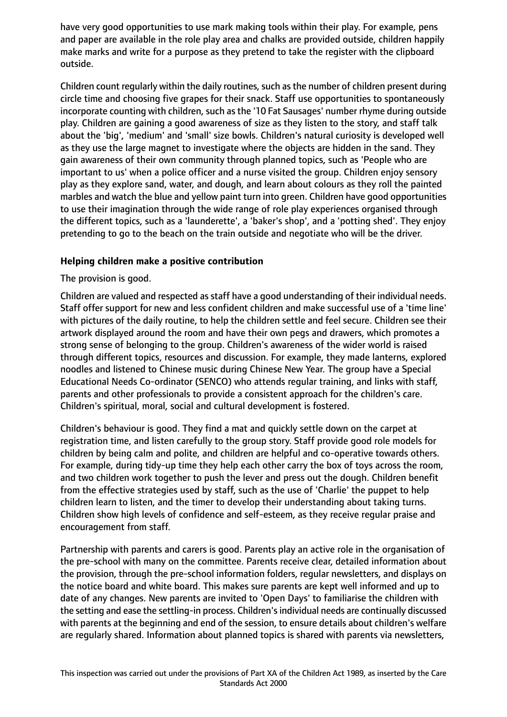have very good opportunities to use mark making tools within their play. For example, pens and paper are available in the role play area and chalks are provided outside, children happily make marks and write for a purpose as they pretend to take the register with the clipboard outside.

Children count regularly within the daily routines, such as the number of children present during circle time and choosing five grapes for their snack. Staff use opportunities to spontaneously incorporate counting with children, such as the '10 Fat Sausages' number rhyme during outside play. Children are gaining a good awareness of size as they listen to the story, and staff talk about the 'big', 'medium' and 'small' size bowls. Children's natural curiosity is developed well as they use the large magnet to investigate where the objects are hidden in the sand. They gain awareness of their own community through planned topics, such as 'People who are important to us' when a police officer and a nurse visited the group. Children enjoy sensory play as they explore sand, water, and dough, and learn about colours as they roll the painted marbles and watch the blue and yellow paint turn into green. Children have good opportunities to use their imagination through the wide range of role play experiences organised through the different topics, such as a 'launderette', a 'baker's shop', and a 'potting shed'. They enjoy pretending to go to the beach on the train outside and negotiate who will be the driver.

#### **Helping children make a positive contribution**

The provision is good.

Children are valued and respected as staff have a good understanding of their individual needs. Staff offer support for new and less confident children and make successful use of a 'time line' with pictures of the daily routine, to help the children settle and feel secure. Children see their artwork displayed around the room and have their own pegs and drawers, which promotes a strong sense of belonging to the group. Children's awareness of the wider world is raised through different topics, resources and discussion. For example, they made lanterns, explored noodles and listened to Chinese music during Chinese New Year. The group have a Special Educational Needs Co-ordinator (SENCO) who attends regular training, and links with staff, parents and other professionals to provide a consistent approach for the children's care. Children's spiritual, moral, social and cultural development is fostered.

Children's behaviour is good. They find a mat and quickly settle down on the carpet at registration time, and listen carefully to the group story. Staff provide good role models for children by being calm and polite, and children are helpful and co-operative towards others. For example, during tidy-up time they help each other carry the box of toys across the room, and two children work together to push the lever and press out the dough. Children benefit from the effective strategies used by staff, such as the use of 'Charlie' the puppet to help children learn to listen, and the timer to develop their understanding about taking turns. Children show high levels of confidence and self-esteem, as they receive regular praise and encouragement from staff.

Partnership with parents and carers is good. Parents play an active role in the organisation of the pre-school with many on the committee. Parents receive clear, detailed information about the provision, through the pre-school information folders, regular newsletters, and displays on the notice board and white board. This makes sure parents are kept well informed and up to date of any changes. New parents are invited to 'Open Days' to familiarise the children with the setting and ease the settling-in process. Children'sindividual needs are continually discussed with parents at the beginning and end of the session, to ensure details about children's welfare are regularly shared. Information about planned topics is shared with parents via newsletters,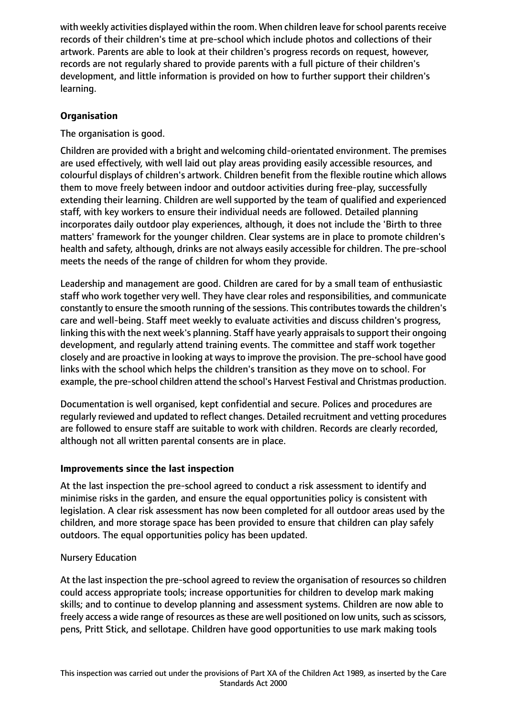with weekly activities displayed within the room. When children leave for school parents receive records of their children's time at pre-school which include photos and collections of their artwork. Parents are able to look at their children's progress records on request, however, records are not regularly shared to provide parents with a full picture of their children's development, and little information is provided on how to further support their children's learning.

# **Organisation**

The organisation is good.

Children are provided with a bright and welcoming child-orientated environment. The premises are used effectively, with well laid out play areas providing easily accessible resources, and colourful displays of children's artwork. Children benefit from the flexible routine which allows them to move freely between indoor and outdoor activities during free-play, successfully extending their learning. Children are well supported by the team of qualified and experienced staff, with key workers to ensure their individual needs are followed. Detailed planning incorporates daily outdoor play experiences, although, it does not include the 'Birth to three matters' framework for the younger children. Clear systems are in place to promote children's health and safety, although, drinks are not always easily accessible for children. The pre-school meets the needs of the range of children for whom they provide.

Leadership and management are good. Children are cared for by a small team of enthusiastic staff who work together very well. They have clear roles and responsibilities, and communicate constantly to ensure the smooth running of the sessions. This contributes towards the children's care and well-being. Staff meet weekly to evaluate activities and discuss children's progress, linking this with the next week's planning. Staff have yearly appraisals to support their ongoing development, and regularly attend training events. The committee and staff work together closely and are proactive in looking at waysto improve the provision. The pre-school have good links with the school which helps the children's transition as they move on to school. For example, the pre-school children attend the school's Harvest Festival and Christmas production.

Documentation is well organised, kept confidential and secure. Polices and procedures are regularly reviewed and updated to reflect changes. Detailed recruitment and vetting procedures are followed to ensure staff are suitable to work with children. Records are clearly recorded, although not all written parental consents are in place.

## **Improvements since the last inspection**

At the last inspection the pre-school agreed to conduct a risk assessment to identify and minimise risks in the garden, and ensure the equal opportunities policy is consistent with legislation. A clear risk assessment has now been completed for all outdoor areas used by the children, and more storage space has been provided to ensure that children can play safely outdoors. The equal opportunities policy has been updated.

## Nursery Education

At the last inspection the pre-school agreed to review the organisation of resources so children could access appropriate tools; increase opportunities for children to develop mark making skills; and to continue to develop planning and assessment systems. Children are now able to freely access a wide range of resources as these are well positioned on low units, such as scissors, pens, Pritt Stick, and sellotape. Children have good opportunities to use mark making tools